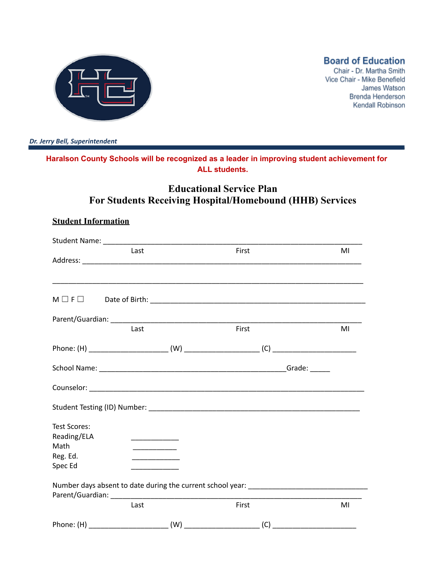

**Board of Education** 

Chair - Dr. Martha Smith Vice Chair - Mike Benefield James Watson Brenda Henderson Kendall Robinson

*Dr. Jerry Bell, Superintendent*

**Haralson County Schools will be recognized as a leader in improving student achievement for ALL students.**

# **Educational Service Plan For Students Receiving Hospital/Homebound (HHB) Services**

## **Student Information**

|                                  | Last                                                                       | First                                                                                                                 | MI |
|----------------------------------|----------------------------------------------------------------------------|-----------------------------------------------------------------------------------------------------------------------|----|
|                                  |                                                                            |                                                                                                                       |    |
|                                  |                                                                            | <u> 1989 - Johann Stoff, deutscher Stoff, der Stoff, der Stoff, der Stoff, der Stoff, der Stoff, der Stoff, der S</u> |    |
|                                  |                                                                            |                                                                                                                       |    |
|                                  |                                                                            |                                                                                                                       |    |
|                                  | Last                                                                       | <b>First</b>                                                                                                          | MI |
|                                  |                                                                            |                                                                                                                       |    |
|                                  |                                                                            |                                                                                                                       |    |
|                                  |                                                                            |                                                                                                                       |    |
|                                  |                                                                            |                                                                                                                       |    |
| <b>Test Scores:</b>              |                                                                            |                                                                                                                       |    |
| Reading/ELA                      |                                                                            |                                                                                                                       |    |
| Math                             | <u> 1989 - Johann John Harry Barnett, amerikansk fotballství (d. 1989)</u> |                                                                                                                       |    |
| Reg. Ed.                         | <u> 1990 - Johann Barnett, fransk konge</u>                                |                                                                                                                       |    |
| Spec Ed                          |                                                                            |                                                                                                                       |    |
|                                  |                                                                            |                                                                                                                       |    |
|                                  | Last                                                                       | First                                                                                                                 | MI |
| Phone: (H) _____________________ |                                                                            | (C)                                                                                                                   |    |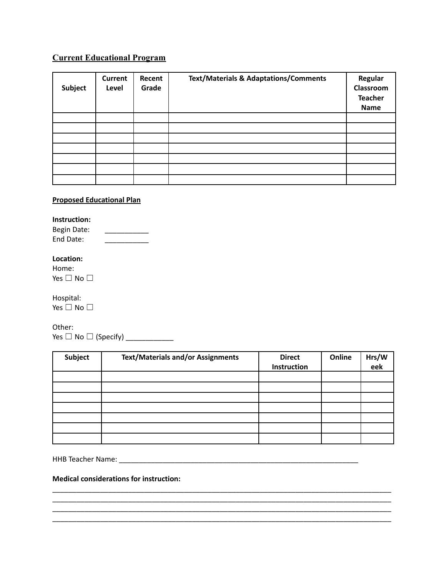## **Current Educational Program**

| Subject | <b>Current</b><br>Level | Recent<br>Grade | <b>Text/Materials &amp; Adaptations/Comments</b> | Regular<br>Classroom<br><b>Teacher</b><br><b>Name</b> |
|---------|-------------------------|-----------------|--------------------------------------------------|-------------------------------------------------------|
|         |                         |                 |                                                  |                                                       |
|         |                         |                 |                                                  |                                                       |
|         |                         |                 |                                                  |                                                       |
|         |                         |                 |                                                  |                                                       |
|         |                         |                 |                                                  |                                                       |
|         |                         |                 |                                                  |                                                       |
|         |                         |                 |                                                  |                                                       |

### **Proposed Educational Plan**

#### **Instruction:**

Begin Date: \_\_\_\_\_\_\_\_\_\_\_\_ End Date: \_\_\_\_\_\_\_\_\_\_\_

#### **Location:**

Home: Yes □ No □

Hospital: Yes □ No □

Other:

Yes ☐ No ☐ (Specify) \_\_\_\_\_\_\_\_\_\_\_\_

| <b>Subject</b> | <b>Text/Materials and/or Assignments</b> | <b>Direct</b><br>Instruction | Online | Hrs/W<br>eek |
|----------------|------------------------------------------|------------------------------|--------|--------------|
|                |                                          |                              |        |              |
|                |                                          |                              |        |              |
|                |                                          |                              |        |              |
|                |                                          |                              |        |              |
|                |                                          |                              |        |              |
|                |                                          |                              |        |              |
|                |                                          |                              |        |              |

\_\_\_\_\_\_\_\_\_\_\_\_\_\_\_\_\_\_\_\_\_\_\_\_\_\_\_\_\_\_\_\_\_\_\_\_\_\_\_\_\_\_\_\_\_\_\_\_\_\_\_\_\_\_\_\_\_\_\_\_\_\_\_\_\_\_\_\_\_\_\_\_\_\_\_\_\_\_\_\_\_\_\_\_\_ \_\_\_\_\_\_\_\_\_\_\_\_\_\_\_\_\_\_\_\_\_\_\_\_\_\_\_\_\_\_\_\_\_\_\_\_\_\_\_\_\_\_\_\_\_\_\_\_\_\_\_\_\_\_\_\_\_\_\_\_\_\_\_\_\_\_\_\_\_\_\_\_\_\_\_\_\_\_\_\_\_\_\_\_\_ \_\_\_\_\_\_\_\_\_\_\_\_\_\_\_\_\_\_\_\_\_\_\_\_\_\_\_\_\_\_\_\_\_\_\_\_\_\_\_\_\_\_\_\_\_\_\_\_\_\_\_\_\_\_\_\_\_\_\_\_\_\_\_\_\_\_\_\_\_\_\_\_\_\_\_\_\_\_\_\_\_\_\_\_\_ \_\_\_\_\_\_\_\_\_\_\_\_\_\_\_\_\_\_\_\_\_\_\_\_\_\_\_\_\_\_\_\_\_\_\_\_\_\_\_\_\_\_\_\_\_\_\_\_\_\_\_\_\_\_\_\_\_\_\_\_\_\_\_\_\_\_\_\_\_\_\_\_\_\_\_\_\_\_\_\_\_\_\_\_\_

HHB Teacher Name: \_\_\_\_\_\_\_\_\_\_\_\_\_\_\_\_\_\_\_\_\_\_\_\_\_\_\_\_\_\_\_\_\_\_\_\_\_\_\_\_\_\_\_\_\_\_\_\_\_\_\_\_\_\_\_\_\_\_\_\_

#### **Medical considerations for instruction:**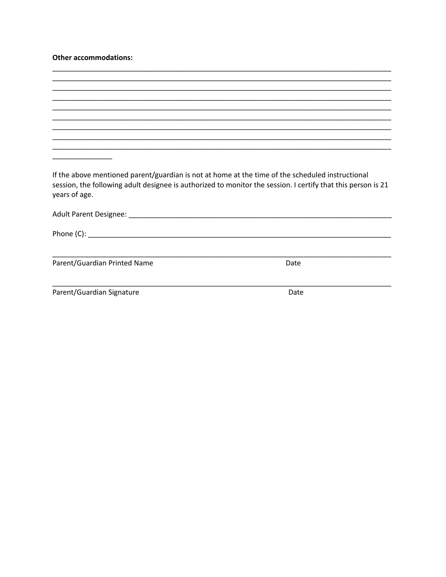### **Other accommodations:**

| If the above mentioned parent/guardian is not at home at the time of the scheduled instructional<br>session, the following adult designee is authorized to monitor the session. I certify that this person is 21<br>years of age. |      |  |  |  |  |
|-----------------------------------------------------------------------------------------------------------------------------------------------------------------------------------------------------------------------------------|------|--|--|--|--|
| Adult Parent Designee: Management of the Contract of the Contract of the Contract of the Contract of the Contract of the Contract of the Contract of the Contract of the Contract of the Contract of the Contract of the Contr    |      |  |  |  |  |
|                                                                                                                                                                                                                                   |      |  |  |  |  |
| Parent/Guardian Printed Name                                                                                                                                                                                                      | Date |  |  |  |  |
| Parent/Guardian Signature                                                                                                                                                                                                         | Date |  |  |  |  |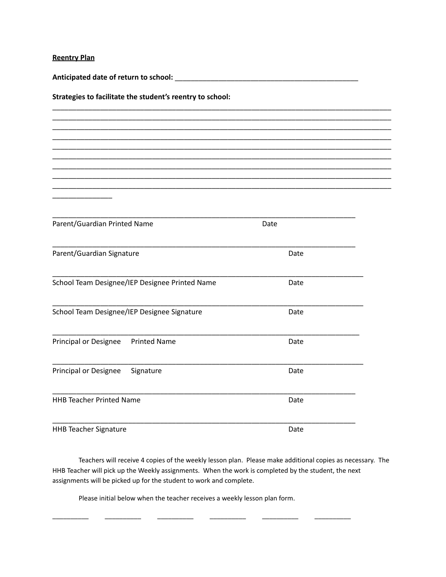**Reentry Plan** 

Anticipated date of return to school: National Contract Control of Anticipated date of returns and a

#### Strategies to facilitate the student's reentry to school:

Parent/Guardian Printed Name Date Parent/Guardian Signature Date School Team Designee/IEP Designee Printed Name Date School Team Designee/IEP Designee Signature Date Principal or Designee Printed Name Date Principal or Designee Signature Date **HHB Teacher Printed Name** Date **HHB Teacher Signature** Date

Teachers will receive 4 copies of the weekly lesson plan. Please make additional copies as necessary. The HHB Teacher will pick up the Weekly assignments. When the work is completed by the student, the next assignments will be picked up for the student to work and complete.

Please initial below when the teacher receives a weekly lesson plan form.